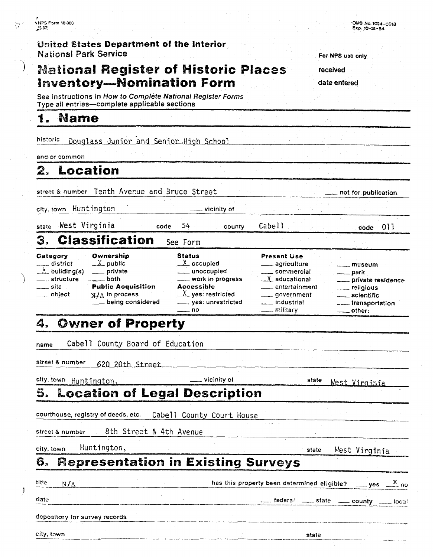**L Mame** 

#### **United States Department of the Interior National Park Service**

**Sez** instructions in How to **Complete National** *Register* Forms

**Type all entries-complete applicable sections** 

# **National Register of Historic Places Inventory-Nomination Form**

**For NPS use aniy** 

OMB NO. **W-0013 EX@. 10-31-89** 

**received** 

**date entered** 

historic Douglass Junior and Senior High School and or common **street** B number Tenth Avecue and Bruce Street -- ---- .--- - not for publication city, town HuntSngton -- vicinity **of** -- - - - vest Virginia code 54 county Cabell **1** code 011 1 Form<br>
1 Form<br>
1 Status Present Use<br>
2 occupied - agriculture<br>
1 unoccupied - commercial **3. Classification** See Form<br> **Category Ownership** Status<br> *-2.* **building(s)** *- private - private - private - private - private - wor* - unoccupied - commercial . **structure** . both - work in progress 2 educationat - private residenct **Category Ownership**<br>
<u> **Category C** *L L* public</u> **site Public Status**<br> **status**<br> **Status**<br> **occupied**<br> **occupied**<br> **occupied**<br> **occupied**<br> **occupied**<br> **occupied**<br> **occupied**<br> **ommercial**<br> **ommercial**<br> **ommercial**<br> **ommercial**<br> **ommercial**<br> **ommercial**<br> **ommercial**<br> **omme Status** Present **Use**  district - <u>X</u> public<br>X building(s) - private district  $\frac{X}{Y}$  public  $\frac{X}{Y}$  occupied agriculture museum<br>
structure both structure both with progress  $\frac{X}{Y}$  educational park<br>
site **Public Acquisition** Accessible<br>
being considered being considered scientific be -- museum - being considered -- yes: unrestricted . industrial -- transportation park work in progress<br>
Accessible<br>  $\frac{X}{1}$  ves: restricted<br>
yes: unrestricted<br>
yes: unrestricted<br>
no<br>
and the military<br>
and the military<br>
and the military<br>
and the military<br>
and the military<br>
and the military<br>
and the militar **4, Owner of Property**  name Cabell County Board of Education street & number 620 20th Street city, town Huntington, \_\_\_\_\_\_\_\_\_\_\_\_\_\_\_\_\_\_\_\_\_\_\_\_\_vicinity of state West Virginia **5, Location sf Legal Description**  courthouse, registry of deeds, etc. Cabell County Court House street & number 8th Street & 4th Avenue **city, town** Huntington, **Exercise 2018** and the Mest Virginia **resentation in Existing Surveys Example 1114 has this property been determined eligible?** yes  $\frac{x}{\cdot}$  no itte N/A<br>
has this property been determined el<br>
date<br>
depository for survey records<br>
state<br>
state<br>
state<br>
state<br>
state<br>
state **date** federal <u>- state - county -- local</u> depositary for survey records

6.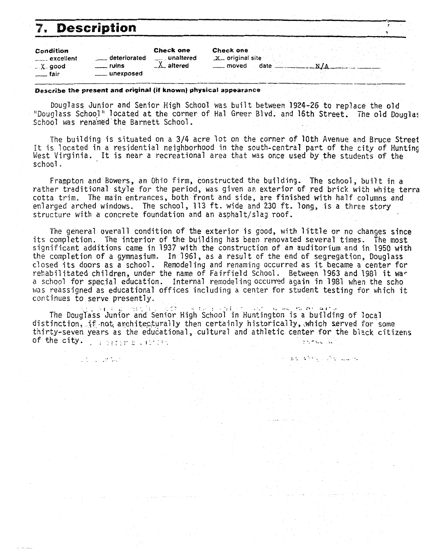# 7. Description

The South St

| Condition       |                 | <b>Check one</b> | Check   |
|-----------------|-----------------|------------------|---------|
| $---$ excellent | deteriorated    | ____ unaltered   | _x__ or |
| $-\lambda$ good | ruins           | $\Delta$ altered |         |
| ˈ⊥__ fair       | _____ unexposed |                  |         |
|                 |                 |                  |         |

#### one

iginal site oved date \_

 $-N/A$ 

 $\label{eq:2.1} \mathcal{L}=\mathcal{L}(\mathcal{L}^{\frac{1}{2}}\mathcal{L}^{\frac{1}{2}}\mathcal{L}^{\frac{1}{2}}\mathcal{L}^{\frac{1}{2}}\mathcal{L}^{\frac{1}{2}}\mathcal{L}^{\frac{1}{2}}\mathcal{L}^{\frac{1}{2}}\mathcal{L}^{\frac{1}{2}}\mathcal{L}^{\frac{1}{2}}\mathcal{L}^{\frac{1}{2}}\mathcal{L}^{\frac{1}{2}}\mathcal{L}^{\frac{1}{2}}\mathcal{L}^{\frac{1}{2}}\mathcal{L}^{\frac{1}{2}}\mathcal$ 

Describe the present and original (if known) physical appearance

Douglass Junior and Senior High School was built between 1924-26 to replace the old "Douglass School" located at the corner of Hal Greer Blyd. and 16th Street. The old Douglas School was renamed the Barnett School.

The building is situated on a 3/4 acre lot on the corner of 10th Avenue and Bruce Street It is located in a residential neighborhood in the south-central part of the city of Hunting West Virginia. It is near a recreational area that was once used by the students of the school.

Frampton and Bowers, an Ohio firm, constructed the building. The school, built in a rather traditional style for the period, was given an exterior of red brick with white terra cotta trim. The main entrances, both front and side, are finished with half columns and enlarged arched windows. The school, 113 ft. wide and 230 ft. long, is a three story structure with a concrete foundation and an asphalt/slag roof.

The general overall condition of the exterior is good, with little or no changes since its completion. The interior of the building has been renovated several times. The most significant additions came in 1937 with the construction of an auditorium and in 1950 with the completion of a gymnasium. In 1961, as a result of the end of segregation, Douglass closed its doors as a school. Remodeling and renaming occurred as it became a center for rehabilitated children, under the name of Fairfield School. Between 1963 and 1981 it war a school for special education. Internal remodeling occurred again in 1981 when the scho was reassigned as educational offices including a center for student testing for which it continues to serve presently.

The Douglass Junior and Senior High School in Huntington is a building of local distinction, if not architecturally then certainly historically, which served for some thirty-seven years as the educational, cultural and athletic center for the black citizens of the city. I serve the control Greenwood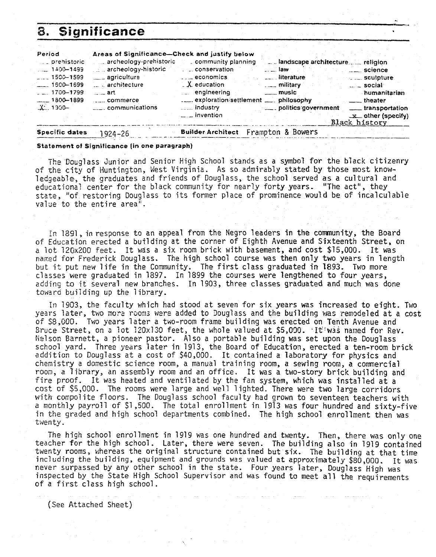#### Significance 8.

| Period              | Areas of Significance-Check and justify below                   |                                           |                                             |
|---------------------|-----------------------------------------------------------------|-------------------------------------------|---------------------------------------------|
| prehistoric         |                                                                 | archeology-prehistoric community planning |                                             |
| $1400 - 1499$       | $\mathbb{R}^n$ archeology-historic $\mathbb{R}^n$ conservation. |                                           | $\sim$ law<br>science                       |
| $1500 - 1599$       | ____ agriculture                                                | $\ldots$ economics                        | <u>Lesselliterature</u><br>$\sim$ sculpture |
| $-1600 - 1699$      | architecture                                                    | $\mathcal{L}$ education                   | military<br>$\ldots$ social                 |
| $-1700 - 1799$      | $-$ art                                                         | engineering                               | $\frac{1}{2}$ music<br>humanitarian         |
| $-1800 - 1899$      | and commerce                                                    | exploration/settlement  philosophy        | $\frac{1}{2}$ theater                       |
| $\frac{1}{2}$ 1900- | <sub>-----</sub> communications                                 | <b>Example 1ndustry</b>                   | politics government<br>___ transportation   |
|                     |                                                                 | $\frac{1}{2}$ invention                   | $x$ other (specify)<br>Black history        |

**Specific dates 1924-26 Builder Architect** Frampton & Bowers

#### **Statement of Significance fin one paragraph)**

The 'Doug1 ass Junior and Senior High School stands as a symbol for the black citizenry of the city of Huntington, West Virginia. As so admirably stated by those most knowledgeable, the graduates and friends of Douglass, the school served as a cultural and educational center for the black community for nearly forty years- "The act", they state, "of restoring Douglass to its former place of prominence would be of incalculable value to the entire area".

In 1891, in response to an appeal from the Negro leaders in the community, the Board of Education erected a building at the corner of Eighth Avenue **and** Sixteenth Street, on a lot 12ftx200 feet. It was a six room brick with basement, **and** cost \$15,000. It was named for Frederick Douglass. The high school course was then only two years in length but it put new 1 ife in the Community. The first class graduated in 1893. Two more classes were graduated in 1897. In 1899 the courses were lengthened to four years, addins to it several new branches. In 1903, three classes graduated and much was done toward building up the library.

In 1903, the faculty which had stood at seven for six years was increased to eight. Two years later, two more rooms were added to Douglass and the building was remodeled at a cost of S8,GOU. Two years 1 ater a two-room frame building was erected on Tenth Avenue and Bruce Street, on a lot 120x130 feet, the whole valued at \$5,000. Altiwas named for Rev. Nelson Barnett, a pioneer pastor. Also a portable building was set upon the Douglass school yard. Three years later in 1913, the Board of Education, erected a ten-room brick addition to DougTass at a cost of \$40,000. It contained a laboratory for physics and chemistry a domestic science room, a manual training room, a sewing room, a commercial roon, a Tibrary, an assembly room and an office. It was a two-story brick building and fire proof. It was heated and ventilated by the fan system, which **was** installed at a cast of \$5,000. The rooms were large and well lighted. There were two large corridors with cmpofite floors. The Douglass school faculty had grown to seventeen teachers with a monthly payroll of \$1,500. The total enrollment in 1913 **was** four hundred and sixty-five in the graded and high school departments combined. The high school enrollment then was twenty.

The high school enrollment in 1919 was one hundred and twenty. Then, there was only one teacher for the high school. Later, there were seven. The building also in 7919 contained twenty rooms, whereas the original structure contained but six. The building at that time including the building, equipment and grounds was valued at approximately \$80,000. 1t was never surpassed **by** any other school in the state. Four years later, Dougfass High was inspected by the State High School Supervisor and was found to meet all the requirements of a first class high school.

(See Attached Sheet)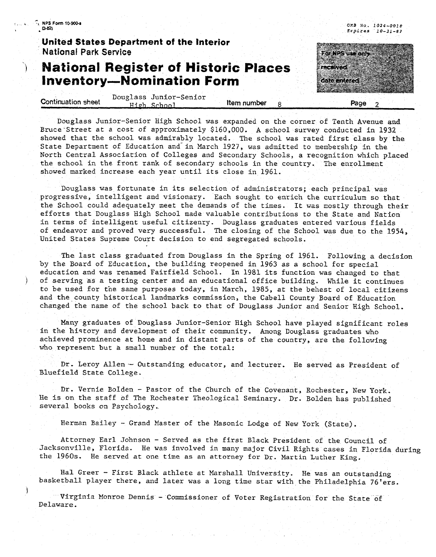<sup>7</sup>, NPS Form 10-900-a ္ပြဲဆႏ

*O.?B* **No. 1024-0018**  *Exaires* **10-31 -87** 

Romanan

recented.

ತಾಡಿ ಸಂಪರ

#### **United States Department of the Interior National Park Service**

## **National Register of Historic Places Inventory-Nomination Form**

|                    |      | Douglass Junior-Senior |             |  |  |      |  |  |
|--------------------|------|------------------------|-------------|--|--|------|--|--|
| Continuation sheet |      |                        | item number |  |  |      |  |  |
|                    | ロュロロ | School                 |             |  |  | Page |  |  |
|                    |      |                        |             |  |  |      |  |  |

Douglass Junior-Senior High School was expanded on the corner of Tenth Avenue and Bruce-Street at a cost of approximately \$160,000. **A** school survey conducted in 1932 showed that the school **was** admirably located. **The** school was rated first class by the State Department of Education and in March 1927, was admitted to membership in the North Central Association of Colleges and Secondary Schools, a recognition which placed **the** school in the front rank of secondary schools in the country. The enrollment showed marked increase each year until its close in 1961.

Douglass was fortunate in its selection of administrators; each principal was progressive, intelligent and visionary. Each sought to enrich the curriculum so that the School could adequately meet the demands of the times. It was mostly through their efforts that Douglass Bigh School made valuable contributions to the State and Nation in terms of intelligent useful citizenry. Douglass graduates entered various fields of endeavor and proved very successful. The closing of the School was due to the 1954, United States Supreme Court decision to end segregated schools.

The last class graduated from Douglass in the Spring of 1961. Following a decision by the Board of Education, the building reopened in 1963 as a school for special education and was renamed Fairfield School. In 1981 its function was changed to that ) of serving as a testing center and an educational office building. While it continues to be used for the same purposes today, in March, 1985, at the behest of local citizens and the county historical landmarks commission, the Cabell County Board of Education changed the name of the school back to that of Douglass Junior and Senior High School.

Many graduates of Douglass Junior-Senior High School have played significant roles in the history and development of their community. Among Douglass graduates who achieved prominence at home and in distant parts of the country, are the following who represent but a small number of the total:

Dr. Leroy Allen-- Outstanding educator, and lecturer. He served as President of Bluefield State College.

Dr. Vernie BoIden - Pastor of the Church of the Covenant, Rochester, New York. He is on the staff of The Rochester Theological Seminary. Dr. Bolden has published several books on Psychology.

Herman Bailey - Grand Master of the Masonic Lodge of New York (State).

Attorney Earl Johnson - Served as the first Black President of the Council of Jacksonville, Florida. He was involved in many major Civil Rights cases in Florida during the 1960s. He served at one **time** as an attorney for Dr. Martin Luther **King.** 

Hal Greer - First Black athlete at Marshall University. He was an outstanding basketball player there, and later was a long time star with the Philadelphia 76'ers.

Virginia Monroe Dennis - Commissioner of Voter Registration for the State of Delaware.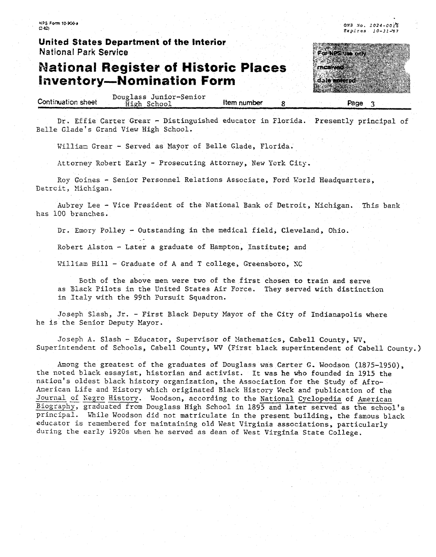**HPS Form lC-Wr**   $2x$ 

**United States Department of the Interior National Park Service** 

### **ational Register of Historic Places nventory-Nomination Form**

FO NISSION ON res en 1990 Cale antered

**QX9 .Vo. 1024-001% Expires 10-31-97** 

|                    | Douglass Junior-Senior |             |  |      |  |
|--------------------|------------------------|-------------|--|------|--|
| Continuation sheet | – School I<br>High     | Item number |  | Page |  |
|                    |                        |             |  |      |  |

Dr. Effie Carter Grear - Distinguished educator in Florida. Presently principal of Belle Glade's Grand View High School.

William Grear - Served as Mayor of Belle Glade, Florida.

Attorney Robert Early - Prosecuting Attorney, New Tork **City.** 

Roy Goinss - Senior Personnel Relations Associate, Ford k'arld Headquarters, Detroit, Michigan.

Aubrey Lee - Vice President of the National Bank of Detroit, Michigan. This bank has 100 branches.

Dr. Emory Polley - Outstanding in the medical field, Cleveland, Ohia.

Robert Alston - Later a graduate of Hampton, Institute; and

Villiaa Bill - Graduate of A and T college, Greensboro, **XC** 

Both of the above men were two of the first chosen to train and serve as Blzck Pilots in the United States Air Force. They served with distinction **in** Italy with the 99th Pursuit Squadron.

Joseph Slash, Jr. - First Black Deputy Mayor of the City of Indianapolis where **he** is the Senior Deputy Hayor.

Joseph **A.** Slash - Educator, Supervisor of Xathematics, Cabell County, **WV,**  Superintendent of Schools, Cabell County, WV (First black superintendent of Cabell County.)

hong the greatest of the graduates of Douglass was Certer **G,** Woodson (1875-1950), the noted black essayist, historian and activist. It was he **who** founded in 1915 the nation's oldest black history organization, the Association for the Study of Afroherican Life and History which originated Black History In'eck **and** publication of the Internation's oldest black history organization, the Association for the Study of Afro-American Life and History which originated Black History Week and publication of the Journal of Negro History. Woodson, according to th Journal of Negro History. Woodson, according to the National Cyclopedia of American<br>Biography, graduated from Douglass High School in 1895 and later served as the school's principal. While Woodson did not matriculate in the present building, the famous black educator is rzaenbered for maintaining old West Virginia associations, particularly during the **eerly** 1920s when he served as dean of West Virginia State College.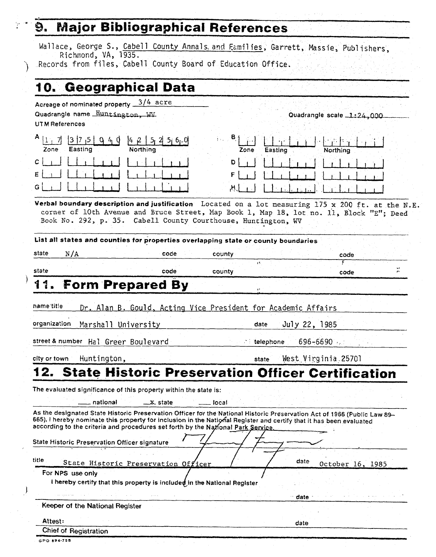**Major Bibliographical References**<br>Wallace, George S., Cabell County Annals. and Eamilies, Garrett, Massie, Publishers, Richmond, VA, 1935. Records from files, **Cabell** County Board of Education Office,

# **10. Geographical Data**

Acreage of nominated property  $\frac{3/4}{4}$  acre **Quadrangle name Huntington, WV Quadrangle scale 1:24,000** 

UT **M** References

| A.<br>Zone | 7<br> 3<br>0<br>4<br>Easting | 5, 6, 0<br>ł4<br>$\mathcal{Q}$<br>Northing |
|------------|------------------------------|--------------------------------------------|
| Ċ.         |                              | т.                                         |
| E<br>- 1   |                              |                                            |
| Ġ          |                              |                                            |

**Zone** Easting Đ.

**Xerbai boundary description and justification** Located on a lot measuring 175 **x** <sup>200</sup>**ft.** at the N.E. corner of 10th Avenue and Bruce Street, Map Book **1,** Map 18, lot no. 11, siock "En; Deed Book So. 292, p. 35. Cabell County Courthouse, Huntington, W

**List alt states and counties for properties overlapping state or county boundaries** 

state **N/h** code county code **11 y** 

state code county code **,.** 

# **1 4 Form Prepared By**

name/title Dr. Alan B. Gould, Acting Vice President for Academic Affairs

organization Marshall University

street & number Hal Greer Boulevard - the state of telephone 696-6690  $\mu$ .

city or **town** Huntington , state West Virginia 25701

July 22, 1985

date

**date** 

# **12. State Historic Preservation Officer Certification**<br>
The evaluated significance of this property within the state is:<br>
- national <u>X</u>- state - local local local local local state designated State Historic Preservation

The evaluated significance of this property within the state **is:** 

As the designated State Historic Preservation Officer for the National Historic Preservation Act of 1966 (Public Law 89-665), I hereby nominate this property for inclusion in the National Register and certify that it has been evaluated according to the criteria and procedures set forth by the National Park Service

State Historic Preservation Officer signature

| <b>COLLEGE</b> |  |
|----------------|--|

date **State** Histori October 16, 1985

**For NPS useonly** 

**i** hereby certify that this property is included in the National Register

**Keeper of the National Register** 

**Attest:** date

Chief **of Reqistration** 

GPO 894-798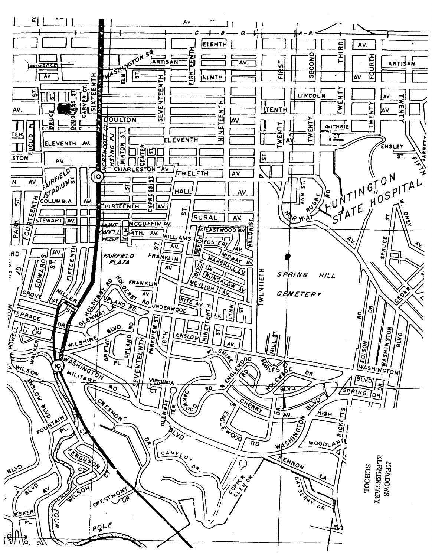